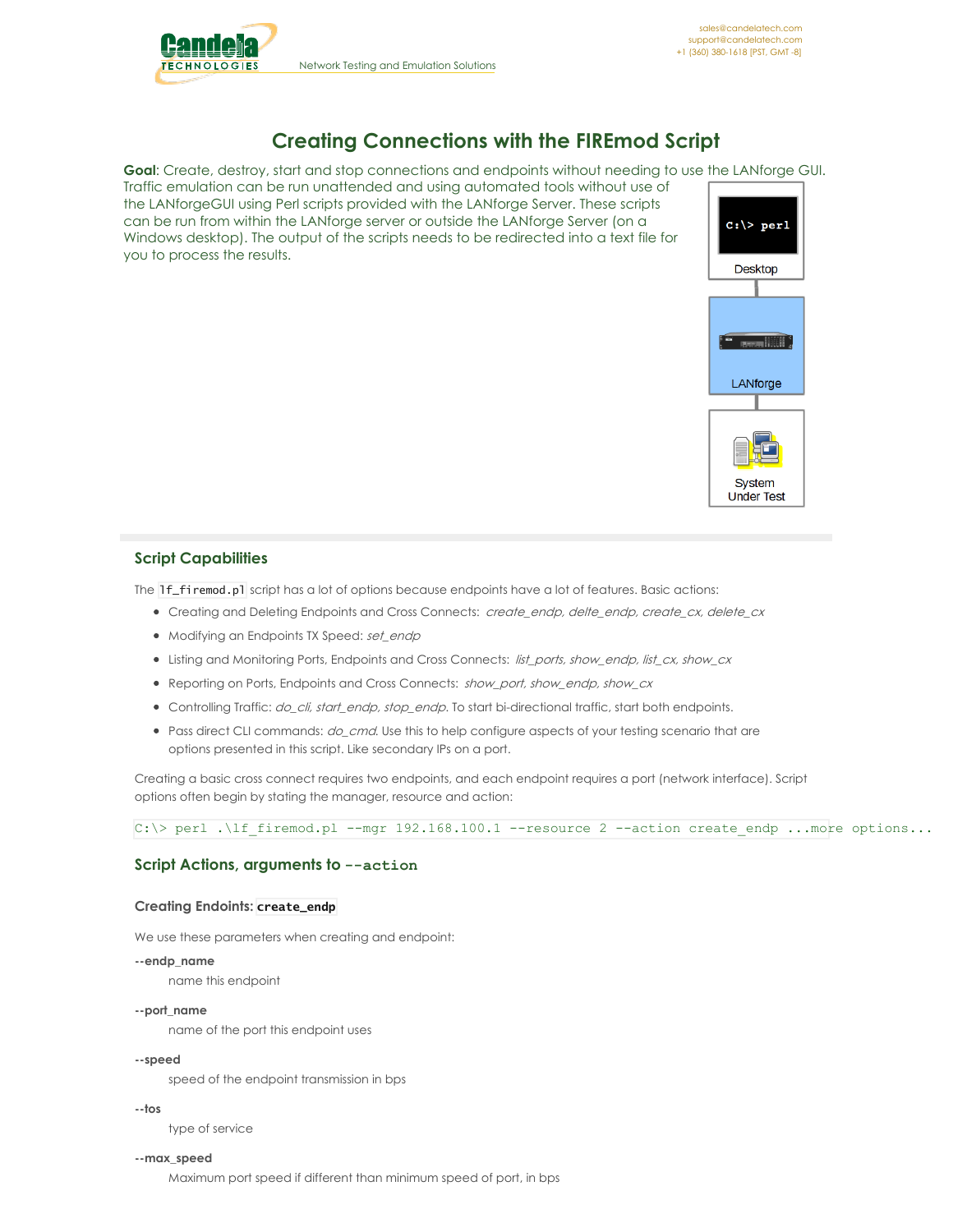

Network Testing and Emulation Solutions

# **Creating Connections with the FIREmod Script**

**Goal**: Create, destroy, start and stop connections and endpoints without needing to use the LANforge GUI.

Traffic emulation can be run unattended and using automated tools without use of the LANforgeGUI using Perl scripts provided with the LANforge Server. These scripts can be run from within the LANforge server or outside the LANforge Server (on a Windows desktop). The output of the scripts needs to be redirected into a text file for you to process the results.



# **Script Capabilities**

The 1f\_firemod.pl script has a lot of options because endpoints have a lot of features. Basic actions:

- Creating and Deleting Endpoints and Cross Connects: create\_endp, delte\_endp, create\_cx, delete\_cx
- Modifying an Endpoints TX Speed: set\_endp
- Listing and Monitoring Ports, Endpoints and Cross Connects: list\_ports, show\_endp, list\_cx, show\_cx
- Reporting on Ports, Endpoints and Cross Connects: show\_port, show\_endp, show\_cx
- Controlling Traffic: do\_cli, start\_endp, stop\_endp. To start bi-directional traffic, start both endpoints.
- Pass direct CLI commands: *do cmd*. Use this to help configure aspects of your testing scenario that are options presented in this script. Like secondary IPs on a port.

Creating a basic cross connect requires two endpoints, and each endpoint requires a port (network interface). Script options often begin by stating the manager, resource and action:

 $C:\rangle$  perl . If firemod.pl --mgr 192.168.100.1 --resource 2 --action create endp ...more options...

# **Script Actions, arguments to --action**

#### **Creating Endoints: create\_endp**

We use these parameters when creating and endpoint:

#### **--endp\_name**

name this endpoint

#### **--port\_name**

name of the port this endpoint uses

#### **--speed**

speed of the endpoint transmission in bps

#### **--tos**

type of service

#### **--max\_speed**

Maximum port speed if different than minimum speed of port, in bps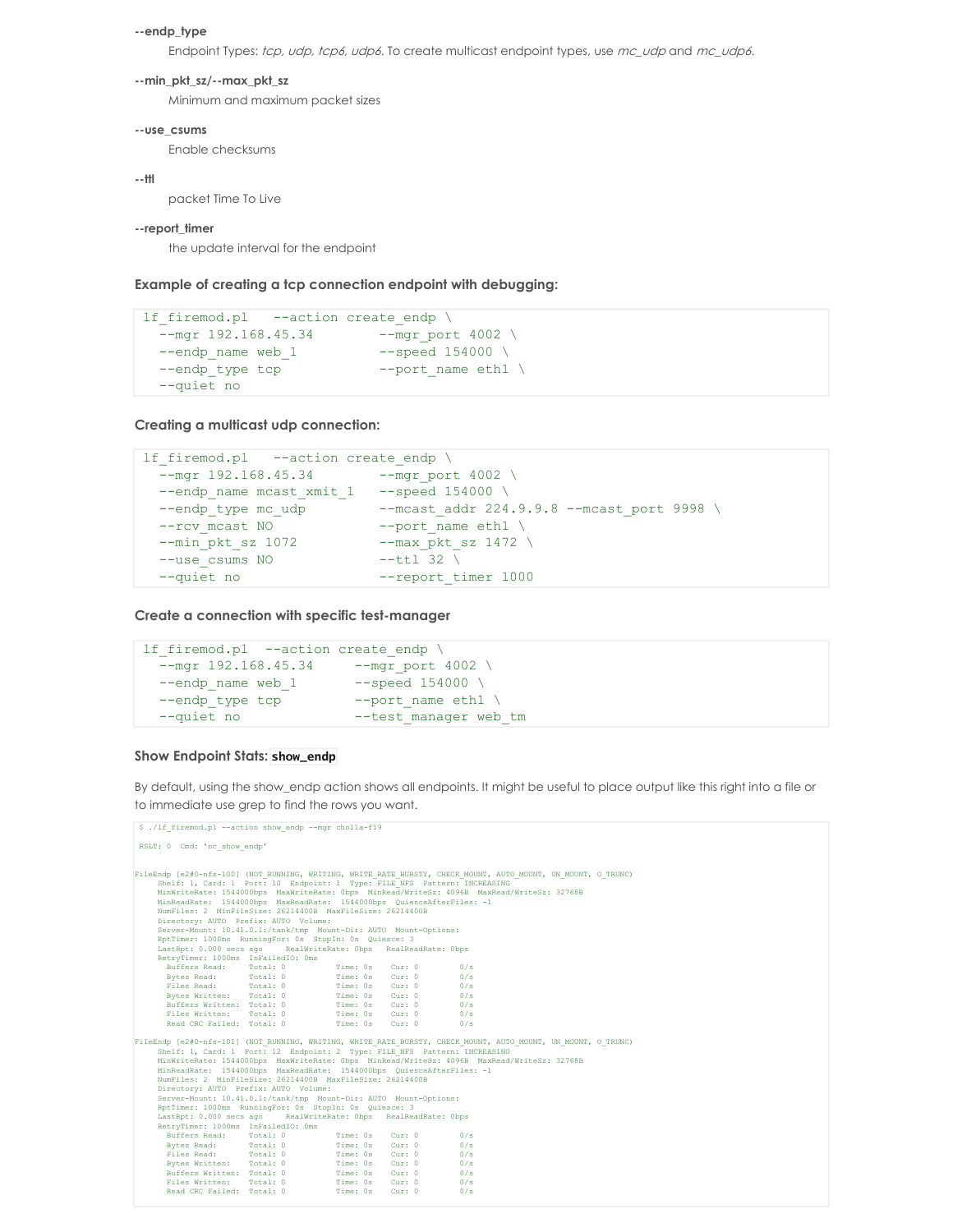#### **--endp\_type**

Endpoint Types: tcp, udp, tcp6, udp6. To create multicast endpoint types, use mc\_udp and mc\_udp6.

#### **--min\_pkt\_sz/--max\_pkt\_sz**

Minimum and maximum packet sizes

#### **--use\_csums**

Enable checksums

#### **--ttl**

packet Time To Live

#### **--report\_timer**

the update interval for the endpoint

**Example of creating a tcp connection endpoint with debugging:**

```
lf firemod.pl --action create endp \
 --mgr 192.168.45.34 --mgr_port 4002 \
 --endp_name web_1 --speed 154000 \setminus--endp type tcp --port name eth1 \
 --quiet no
```
**Creating a multicast udp connection:**

```
lf firemod.pl --action create endp \
  --mgr 192.168.45.34 --mgr port 4002 \
  --endp_name mcast_xmit_1 --speed 154000 \
  --endp_type mc_udp --mcast_addr 224.9.9.8 --mcast_port 9998 \
  --rcv mcast NO --port name eth1 \
  --min pkt sz 1072 --max pkt sz 1472 \
 --use_ast_n0 --port_name_eth1 \<br>--min_pkt_sz_1072 --max_pkt_sz_1472 \<br>--use_csums NO --ttl 32 \
 --quiet no --report timer 1000
```
**Create a connection with specific test-manager**

```
lf firemod.pl --action create endp \setminus--mgr 192.168.45.34 --mgr_port 4002 \
 --endp_name web_1 --speed 154000 \setminus--endp_type tcp --port_name eth1 \
  --quiet no --test_manager web_tm
```
## **Show Endpoint Stats: show\_endp**

By default, using the show\_endp action shows all endpoints. It might be useful to place output like this right into a file or to immediate use grep to find the rows you want.

```
$ ./lf firemod.pl --action show endp --mgr cholla-f19
RSLT: 0 Cmd: 'nc_show_endp'
FileRang (e240-nfs-1000) (NOT RUNNING, WRITING, WRITE RATE BURSTY, CHECK MOUNT, ONTO MARTHE AND MARKET AND MARKET BARREAD (WIRTHERANG MINIWEITER: 13768B<br>
MINNTITERATE: 1544000bps MaxWriteRate: 0bps MinRead/WriteSz: 4096B 
FileEndp (e240-nfs-1010) (NOT RUNNENG, WRITING, WRITE RATE BURSTY, CHECK MOUNT, ONTO MARINISAL (1.0 THE THE THE THE THE THE THE THE MASS PARTICLES 2016 MINNISALE: 13766B<br>
MinNistieRate: 1544000bps MaxWriteRate: Obps MinRe
```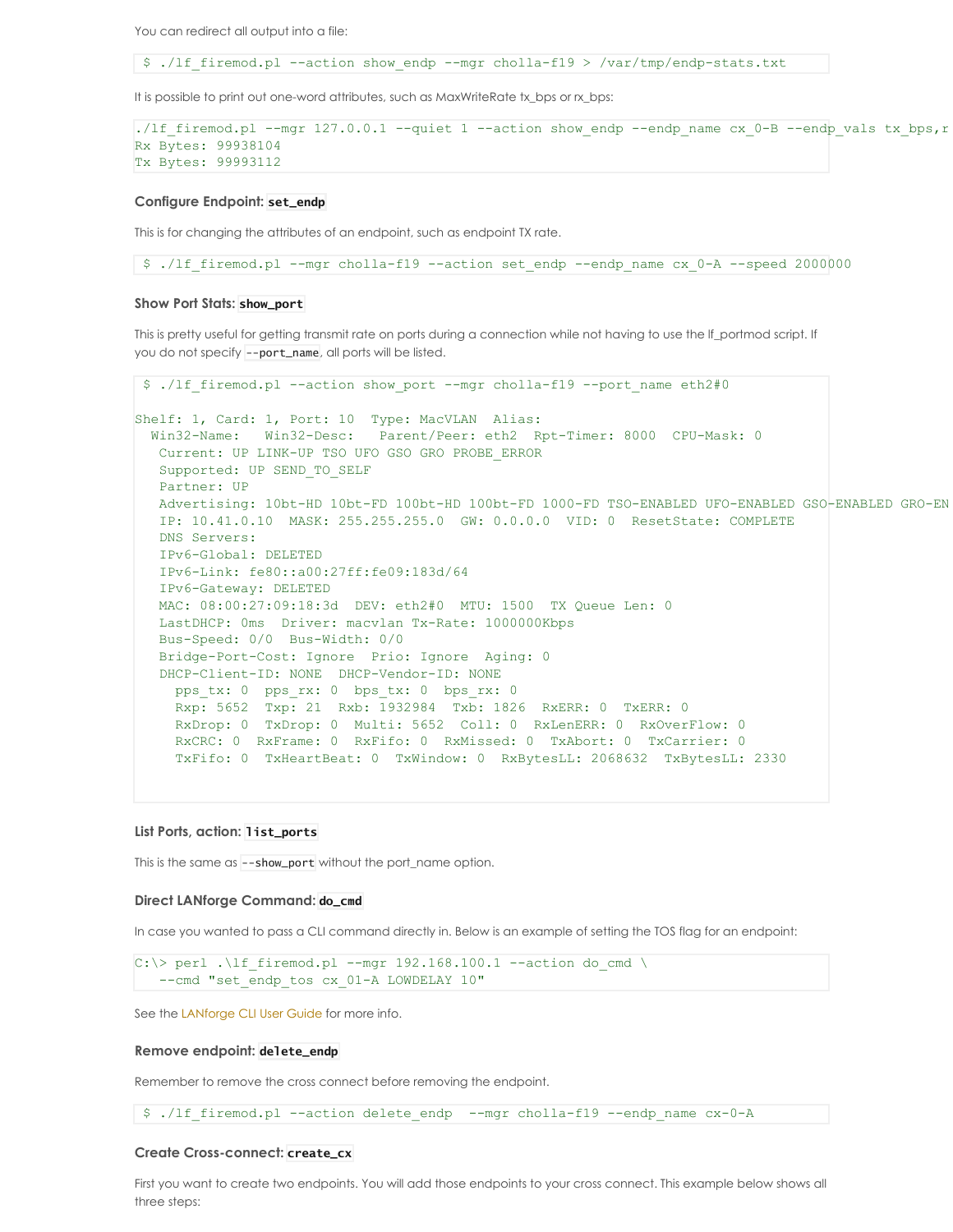You can redirect all output into a file:

\$ ./lf\_firemod.pl --action show\_endp --mgr cholla-f19 > /var/tmp/endp-stats.txt

It is possible to print out one-word attributes, such as MaxWriteRate tx\_bps or rx\_bps:

```
./lf_firemod.pl --mgr 127.0.0.1 --quiet 1 --action show_endp --endp_name cx_0-B --endp_vals tx_bps,r
Rx Bytes: 99938104
Tx Bytes: 99993112
```
#### **Configure Endpoint: set\_endp**

This is for changing the attributes of an endpoint, such as endpoint TX rate.

\$ ./lf\_firemod.pl --mgr cholla-f19 --action set\_endp --endp\_name cx\_0-A --speed 2000000

#### **Show Port Stats: show\_port**

This is pretty useful for getting transmit rate on ports during a connection while not having to use the lf\_portmod script. If you do not specify --port\_name, all ports will be listed.

```
$ ./lf firemod.pl --action show port --mgr cholla-f19 --port name eth2#0
Shelf: 1, Card: 1, Port: 10 Type: MacVLAN Alias:
 Win32-Name: Win32-Desc: Parent/Peer: eth2 Rpt-Timer: 8000 CPU-Mask: 0
  Current: UP LINK-UP TSO UFO GSO GRO PROBE_ERROR
  Supported: UP SEND TO SELF
  Partner: UP
  Advertising: 10bt-HD 10bt-FD 100bt-HD 100bt-FD 1000-FD TSO-ENABLED UFO-ENABLED GSO-ENABLED GRO-ENABLED
  IP: 10.41.0.10 MASK: 255.255.255.0 GW: 0.0.0.0 VID: 0 ResetState: COMPLETE
  DNS Servers:
  IPv6-Global: DELETED
  IPv6-Link: fe80::a00:27ff:fe09:183d/64
  IPv6-Gateway: DELETED
  MAC: 08:00:27:09:18:3d DEV: eth2#0 MTU: 1500 TX Queue Len: 0
  LastDHCP: 0ms Driver: macvlan Tx-Rate: 1000000Kbps
  Bus-Speed: 0/0 Bus-Width: 0/0
  Bridge-Port-Cost: Ignore Prio: Ignore Aging: 0
  DHCP-Client-ID: NONE DHCP-Vendor-ID: NONE
    pps_tx: 0 pps_rx: 0 bps_tx: 0 bps_rx: 0
    Rxp: 5652 Txp: 21 Rxb: 1932984 Txb: 1826 RxERR: 0 TxERR: 0
    RxDrop: 0 TxDrop: 0 Multi: 5652 Coll: 0 RxLenERR: 0 RxOverFlow: 0
    RxCRC: 0 RxFrame: 0 RxFifo: 0 RxMissed: 0 TxAbort: 0 TxCarrier: 0
    TxFifo: 0 TxHeartBeat: 0 TxWindow: 0 RxBytesLL: 2068632 TxBytesLL: 2330
```
### **List Ports, action: list\_ports**

This is the same as --show\_port without the port name option.

#### **Direct LANforge Command: do\_cmd**

In case you wanted to pass a CLI command directly in. Below is an example of setting the TOS flag for an endpoint:

```
C:\> perl .\lf firemod.pl --mgr 192.168.100.1 --action do cmd \
   --cmd "set endp tos cx 01-A LOWDELAY 10"
```
See the [LANforge](http://www.candelatech.com/lfcli_ug.php) CLI User Guide for more info.

### **Remove endpoint: delete\_endp**

Remember to remove the cross connect before removing the endpoint.

\$ ./lf firemod.pl --action delete endp --mgr cholla-f19 --endp name cx-0-A

#### **Create Cross-connect: create\_cx**

First you want to create two endpoints. You will add those endpoints to your cross connect. This example below shows all three steps: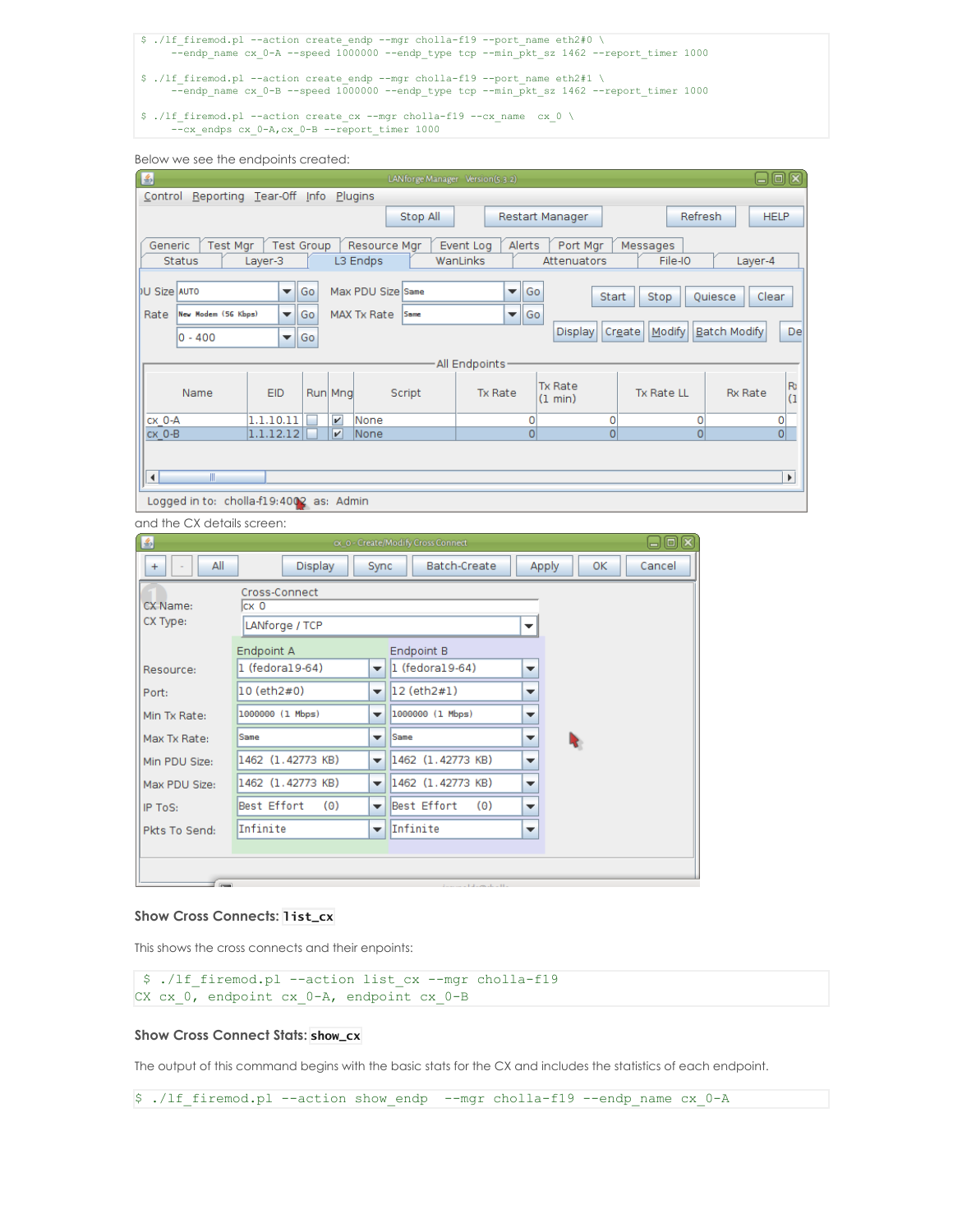

Below we see the endpoints created:

| 日回図<br>圖<br>LANforge Manager Version(5.3.2)                                                                    |                     |                      |                         |                   |             |                |    |                                                                            |  |
|----------------------------------------------------------------------------------------------------------------|---------------------|----------------------|-------------------------|-------------------|-------------|----------------|----|----------------------------------------------------------------------------|--|
| Control Reporting Tear-Off Info Plugins                                                                        |                     |                      |                         |                   |             |                |    |                                                                            |  |
| <b>Refresh</b><br><b>HELP</b><br>Stop All<br>Restart Manager                                                   |                     |                      |                         |                   |             |                |    |                                                                            |  |
|                                                                                                                |                     |                      |                         |                   |             |                |    |                                                                            |  |
| <b>Test Mgr</b><br><b>Test Group</b><br>Port Mgr<br>Generic<br>Resource Mgr<br>Alerts<br>Messages<br>Event Log |                     |                      |                         |                   |             |                |    |                                                                            |  |
| <b>Status</b><br>WanLinks<br>Attenuators<br>File-IO<br>L3 Endps<br>Layer-4<br>Layer-3                          |                     |                      |                         |                   |             |                |    |                                                                            |  |
| <b>DU Size AUTO</b>                                                                                            |                     | $\blacktriangledown$ | Go                      | Max PDU Size Same |             |                | ▼∣ | Go                                                                         |  |
|                                                                                                                | New Hodem (56 Kbps) | ▼∥                   |                         | MAX Tx Rate       | <b>Same</b> |                |    | Clear<br>Start<br>Quiesce<br>Stop                                          |  |
| Rate                                                                                                           |                     |                      | Go                      |                   |             |                | ▼∥ | Go<br><b>Batch Modify</b>                                                  |  |
|                                                                                                                | $0 - 400$           | ▼∣                   | Go                      |                   |             |                |    | Modify<br>De<br>Display<br>Create                                          |  |
| All Endpoints                                                                                                  |                     |                      |                         |                   |             |                |    |                                                                            |  |
|                                                                                                                |                     |                      |                         |                   |             |                |    | R <sub>0</sub><br><b>Tx Rate</b>                                           |  |
|                                                                                                                | Name                | EID                  | Run Mng                 |                   | Script      | <b>Tx Rate</b> |    | <b>Tx Rate LL</b><br><b>Rx Rate</b><br>$\overline{1}$<br>$(1 \text{ min})$ |  |
| CX 0-A                                                                                                         |                     | 1.1.10.11            | $\overline{\mathbf{v}}$ | None              |             |                |    | 0<br>0<br>0<br>0                                                           |  |
| CX O-B                                                                                                         |                     | 1.1.12.12            | $\vert \nu \vert$       | None              |             |                |    | $\overline{0}$<br>$\overline{0}$<br>0<br>$\Omega$                          |  |
|                                                                                                                |                     |                      |                         |                   |             |                |    |                                                                            |  |
|                                                                                                                |                     |                      |                         |                   |             |                |    |                                                                            |  |
| $\blacktriangleleft$<br>Ш<br>$\blacktriangleright$                                                             |                     |                      |                         |                   |             |                |    |                                                                            |  |
| Logged in to: cholla-f19:4002 as: Admin                                                                        |                     |                      |                         |                   |             |                |    |                                                                            |  |

and the CX details screen:

| 国                    |                                          |                                  | ox o - Create/Modify Cross Connect    |                          |    | 60x    |
|----------------------|------------------------------------------|----------------------------------|---------------------------------------|--------------------------|----|--------|
| All<br>$\ddot{}$     | Display                                  | Sync                             | Batch-Create                          | Apply                    | 0K | Cancel |
| CX Name:<br>CX Type: | Cross-Connect<br>lcx 0<br>LANforge / TCP |                                  |                                       | $\overline{\phantom{a}}$ |    |        |
| Resource:            | Endpoint A<br>1 (fedora19-64)            | $\overline{\phantom{a}}$         | Endpoint B<br>$\vert$ 1 (fedora19-64) | $\overline{\phantom{a}}$ |    |        |
| Port:                | 10 (eth2#0)                              | $\overline{\phantom{a}}$         | 12 (eth2#1)                           | ▼                        |    |        |
| Min Tx Rate:         | 1000000 (1 Mbps)                         | $\overline{\phantom{a}}$         | 1000000 (1 Mbps)                      | $\overline{\phantom{a}}$ |    |        |
| Max Tx Rate:         | Same                                     | Same<br>$\overline{\phantom{a}}$ |                                       | $\overline{\phantom{a}}$ |    |        |
| Min PDU Size:        | 1462 (1.42773 KB)                        | $\overline{\phantom{a}}$         | 1462 (1.42773 KB)                     | $\overline{\phantom{a}}$ |    |        |
| Max PDU Size:        | 1462 (1.42773 KB)                        | $\overline{\phantom{a}}$         | 1462 (1.42773 KB)                     | $\overline{\phantom{a}}$ |    |        |
| IP ToS:              | Best Effort<br>(0)                       | $\overline{\phantom{a}}$         | Best Effort<br>(0)                    | $\overline{\phantom{a}}$ |    |        |
| Pkts To Send:        | Infinite                                 | $\overline{\phantom{a}}$         | Infinite                              | $\overline{\phantom{a}}$ |    |        |
|                      |                                          |                                  |                                       |                          |    |        |
| $ v_{\text{max}} $   |                                          |                                  | Andreas and Alasmade a High           |                          |    |        |

# **Show Cross Connects: list\_cx**

This shows the cross connects and their enpoints:

```
$ ./lf_firemod.pl --action list_cx --mgr cholla-f19
CX cx 0, endpoint cx 0-A, endpoint cx 0-B
```
# **Show Cross Connect Stats: show\_cx**

The output of this command begins with the basic stats for the CX and includes the statistics of each endpoint.

\$ ./lf\_firemod.pl --action show\_endp --mgr cholla-f19 --endp\_name cx\_0-A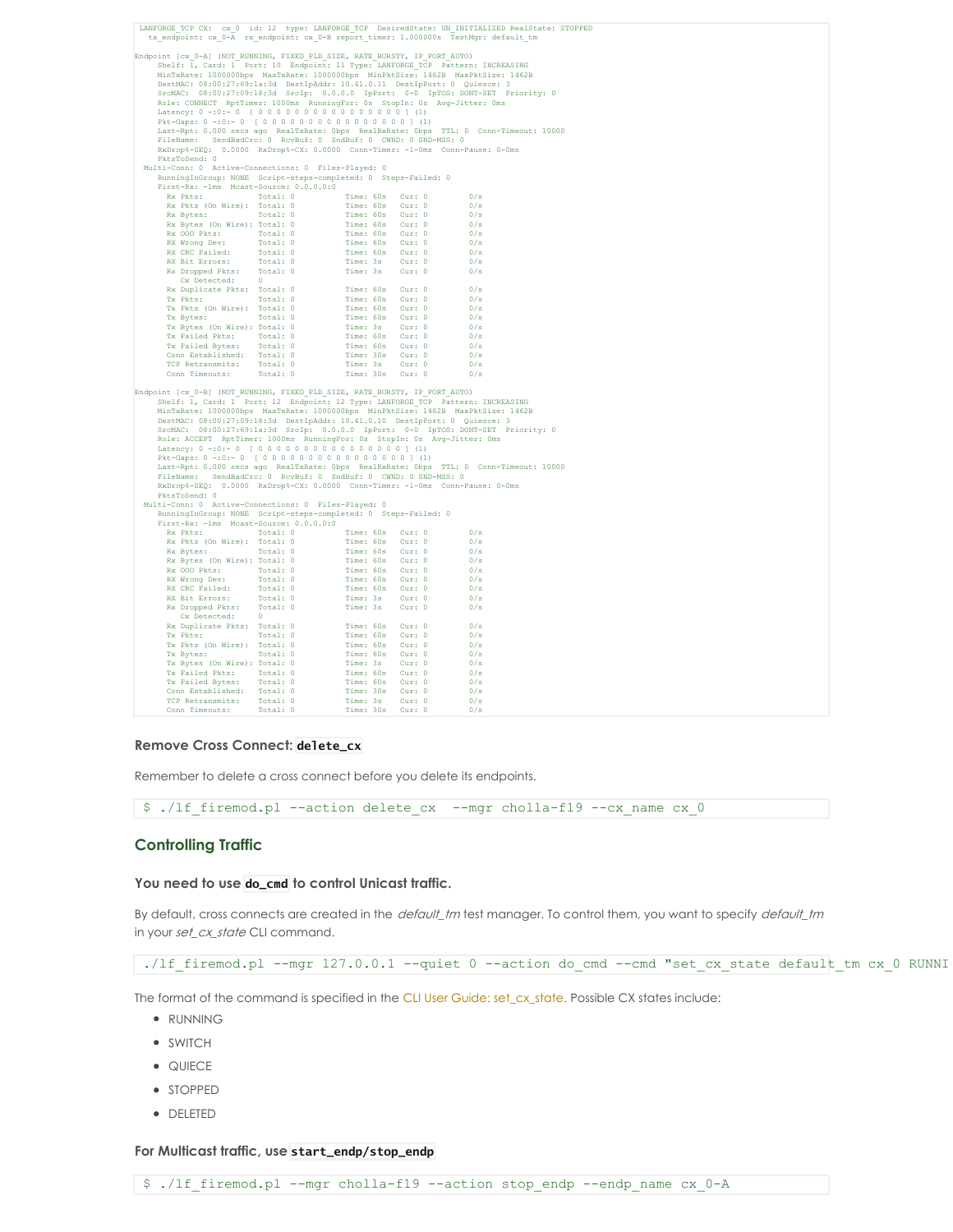| LANFORGE TCP CX: cx 0 id: 12 type: LANFORGE TCP DesiredState: UN INITIALIZED RealState: STOPPED<br>tx endpoint: cx 0-A rx endpoint: cx 0-B report timer: 1.000000s TestMgr: default tm                                                                                                                                                                                                                                                                                       |  |                  |  |            |  |  |  |
|------------------------------------------------------------------------------------------------------------------------------------------------------------------------------------------------------------------------------------------------------------------------------------------------------------------------------------------------------------------------------------------------------------------------------------------------------------------------------|--|------------------|--|------------|--|--|--|
| Endpoint [cx 0-A] (NOT RUNNING, FIXED PLD SIZE, RATE BURSTY, IP PORT AUTO)<br>Shelf: 1, Card: 1 Port: 10 Endpoint: 11 Type: LANFORGE TCP Pattern: INCREASING<br>MinTxRate: 1000000bps MaxTxRate: 1000000bps MinPktSize: 1462B MaxPktSize: 1462B                                                                                                                                                                                                                              |  |                  |  |            |  |  |  |
| DestMAC: 08:00:27:69:la:3d DestIpAddr: 10.41.0.11 DestIpPort: 0 Quiesce: 3                                                                                                                                                                                                                                                                                                                                                                                                   |  |                  |  |            |  |  |  |
| SrcMAC: 08:00:27:09:18:3d SrcIp: 0.0.0.0 IpPort: 0-0 IpTOS: DONT-SET Priority: 0                                                                                                                                                                                                                                                                                                                                                                                             |  |                  |  |            |  |  |  |
| Role: CONNECT RptTimer: 1000ms RunningFor: 0s StopIn: 0s Avg-Jitter: 0ms                                                                                                                                                                                                                                                                                                                                                                                                     |  |                  |  |            |  |  |  |
| Latency: 0 -: 0: - 0 [ 0 0 0 0 0 0 0 0 0 0 0 0 0 0 0 0 ] (1)<br>Pkt-Gaps: 0 -: 0 :- 0 [ 0 0 0 0 0 0 0 0 0 0 0 0 0 0 0 0 ] (1)                                                                                                                                                                                                                                                                                                                                                |  |                  |  |            |  |  |  |
| Last-Rpt: 0.000 secs ago RealTxRate: 0bps RealRxRate: 0bps TTL: 0 Conn-Timeout: 10000                                                                                                                                                                                                                                                                                                                                                                                        |  |                  |  |            |  |  |  |
| FileName: SendBadCrc: 0 RcvBuf: 0 SndBuf: 0 CWND: 0 SND-MSS: 0                                                                                                                                                                                                                                                                                                                                                                                                               |  |                  |  |            |  |  |  |
| RxDrop%-SEQ: 0.0000 RxDrop%-CX: 0.0000 Conn-Timer: -1-0ms Conn-Pause: 0-0ms                                                                                                                                                                                                                                                                                                                                                                                                  |  |                  |  |            |  |  |  |
| PktsToSend: 0<br>Multi-Conn: 0 Active-Connections: 0 Files-Played: 0                                                                                                                                                                                                                                                                                                                                                                                                         |  |                  |  |            |  |  |  |
| RunningInGroup: NONE Script-steps-completed: 0 Steps-Failed: 0                                                                                                                                                                                                                                                                                                                                                                                                               |  |                  |  |            |  |  |  |
| First-Rx: - lms Mcast-Source: 0.0.0.0:0<br>irst-Rx: -1ms Mcast-Source: 0.0.0.0:0<br>Rx Pkts: Total: 0 Time: 60s Cur: 0 0/s<br>Rx Pkts (On Wire): Total: 0 Time: 60s Cur: 0 0/s<br>Rx Bytes: 0n Wire): Total: 0 Time: 60s Cur: 0 0/s<br>Rx Bytes (On Wire): Total: 0 Time: 60s Cur                                                                                                                                                                                            |  |                  |  |            |  |  |  |
|                                                                                                                                                                                                                                                                                                                                                                                                                                                                              |  |                  |  |            |  |  |  |
|                                                                                                                                                                                                                                                                                                                                                                                                                                                                              |  |                  |  |            |  |  |  |
|                                                                                                                                                                                                                                                                                                                                                                                                                                                                              |  |                  |  |            |  |  |  |
|                                                                                                                                                                                                                                                                                                                                                                                                                                                                              |  |                  |  |            |  |  |  |
|                                                                                                                                                                                                                                                                                                                                                                                                                                                                              |  |                  |  |            |  |  |  |
|                                                                                                                                                                                                                                                                                                                                                                                                                                                                              |  |                  |  |            |  |  |  |
|                                                                                                                                                                                                                                                                                                                                                                                                                                                                              |  |                  |  |            |  |  |  |
| Cx Detected: 0                                                                                                                                                                                                                                                                                                                                                                                                                                                               |  |                  |  |            |  |  |  |
|                                                                                                                                                                                                                                                                                                                                                                                                                                                                              |  |                  |  |            |  |  |  |
|                                                                                                                                                                                                                                                                                                                                                                                                                                                                              |  |                  |  |            |  |  |  |
|                                                                                                                                                                                                                                                                                                                                                                                                                                                                              |  |                  |  |            |  |  |  |
|                                                                                                                                                                                                                                                                                                                                                                                                                                                                              |  |                  |  |            |  |  |  |
|                                                                                                                                                                                                                                                                                                                                                                                                                                                                              |  |                  |  |            |  |  |  |
|                                                                                                                                                                                                                                                                                                                                                                                                                                                                              |  |                  |  |            |  |  |  |
|                                                                                                                                                                                                                                                                                                                                                                                                                                                                              |  |                  |  |            |  |  |  |
| $\begin{tabular}{l c c c} $\mathbb{C}$ & Center 10 & $\mathbb{C}$ & $0$ & $\mathbb{C}$ & $0$ & $\mathbb{C}$ \\ \hline \textsc{Ex2} & \textsc{D}_1$ & $\mathbb{C}$ & $\mathbb{C}$ & $\mathbb{C}$ & $\mathbb{C}$ & $\mathbb{C}$ & $\mathbb{C}$ & $\mathbb{C}$ \\ \hline \textsc{Ex2} & $\mathbb{C}$ & $\mathbb{C}$ & $\mathbb{C}$ & $\mathbb{C}$ & $\mathbb{C}$ & $\mathbb{C}$ & $\mathbb{C}$ & $\mathbb{C}$ & $\mathbb{C}$ \\ \hline \textsc{Ex2} & $\mathbb{C}$ & $\mathbb{$ |  |                  |  |            |  |  |  |
|                                                                                                                                                                                                                                                                                                                                                                                                                                                                              |  |                  |  |            |  |  |  |
| Endpoint [cx 0-B] (NOT RUNNING, FIXED PLD SIZE, RATE BURSTY, IP PORT AUTO)<br>Shelf: 1, Card: 1 Port: 12 Endpoint: 12 Type: LANFORGE TCP Pattern: INCREASING<br>MinTxRate: 1000000bps MaxTxRate: 1000000bps MinPktSize: 1462B MaxPktSize: 1462B<br>DestMAC: 08:00:27:09:18:3d DestIpAddr: 10.41.0.10 DestIpPort: 0 Quiesce: 3<br>SrcMAC: 08:00:27:69:la:3d SrcIp: 0.0.0.0 IpPort: 0-0 IpTOS: DONT-SET Priority: 0                                                            |  |                  |  |            |  |  |  |
| Role: ACCEPT RptTimer: 1000ms RunningFor: 0s StopIn: 0s Avg-Jitter: 0ms                                                                                                                                                                                                                                                                                                                                                                                                      |  |                  |  |            |  |  |  |
|                                                                                                                                                                                                                                                                                                                                                                                                                                                                              |  |                  |  |            |  |  |  |
| Latency: 0 -: 0: - 0 [ 0 0 0 0 0 0 0 0 0 0 0 0 0 0 0 0 ] (1)                                                                                                                                                                                                                                                                                                                                                                                                                 |  |                  |  |            |  |  |  |
| Last-Rpt: 0.000 secs ago RealTxRate: Obps RealRxRate: Obps TTL: 0 Conn-Timeout: 10000                                                                                                                                                                                                                                                                                                                                                                                        |  |                  |  |            |  |  |  |
| FileName: SendBadCrc: 0 RcvBuf: 0 SndBuf: 0 CWND: 0 SND-MSS: 0<br>RxDrop%-SEQ: 0.0000 RxDrop%-CX: 0.0000 Conn-Timer: -1-0ms Conn-Pause: 0-0ms<br>PktsToSend: 0                                                                                                                                                                                                                                                                                                               |  |                  |  |            |  |  |  |
| Multi-Conn: 0 Active-Connections: 0 Files-Played: 0                                                                                                                                                                                                                                                                                                                                                                                                                          |  |                  |  |            |  |  |  |
| RunningInGroup: NONE Script-steps-completed: 0 Steps-Failed: 0<br>First-Rx: - lms Mcast-Source: 0.0.0.0:0                                                                                                                                                                                                                                                                                                                                                                    |  |                  |  |            |  |  |  |
|                                                                                                                                                                                                                                                                                                                                                                                                                                                                              |  |                  |  |            |  |  |  |
|                                                                                                                                                                                                                                                                                                                                                                                                                                                                              |  |                  |  |            |  |  |  |
|                                                                                                                                                                                                                                                                                                                                                                                                                                                                              |  |                  |  |            |  |  |  |
|                                                                                                                                                                                                                                                                                                                                                                                                                                                                              |  |                  |  |            |  |  |  |
|                                                                                                                                                                                                                                                                                                                                                                                                                                                                              |  |                  |  |            |  |  |  |
|                                                                                                                                                                                                                                                                                                                                                                                                                                                                              |  |                  |  |            |  |  |  |
|                                                                                                                                                                                                                                                                                                                                                                                                                                                                              |  |                  |  |            |  |  |  |
|                                                                                                                                                                                                                                                                                                                                                                                                                                                                              |  |                  |  |            |  |  |  |
| Cx Detected: 0<br>$\begin{tabular}{l c c c} \hline &\textbf{Cx}~\textbf{Detected:} & 0 & \textbf{Time:}~60s & \textbf{Cur:}~0 \\ \hline \textbf{Rx}~\textbf{Dujlicate Pkts:} & \textbf{Total:}~0 & \textbf{Time:}~60s & \textbf{Cur:}~0 \\ \hline \textbf{Tx}~\textbf{Pkts:} & \textbf{Total:}~0 & \textbf{Time:}~60s & \textbf{Cur:}~0 \\ \hline \textbf{Tx}~\textbf{Pkts:} & \textbf{On Nine):}~\textbf{Total:}~0 & \textbf{Time:}~60s$                                    |  |                  |  | 0/s        |  |  |  |
|                                                                                                                                                                                                                                                                                                                                                                                                                                                                              |  |                  |  | 0/s        |  |  |  |
|                                                                                                                                                                                                                                                                                                                                                                                                                                                                              |  |                  |  | 0/s        |  |  |  |
|                                                                                                                                                                                                                                                                                                                                                                                                                                                                              |  |                  |  | 0/s        |  |  |  |
|                                                                                                                                                                                                                                                                                                                                                                                                                                                                              |  |                  |  | 0/s        |  |  |  |
|                                                                                                                                                                                                                                                                                                                                                                                                                                                                              |  |                  |  | 0/s        |  |  |  |
|                                                                                                                                                                                                                                                                                                                                                                                                                                                                              |  |                  |  | 0/s<br>0/s |  |  |  |
|                                                                                                                                                                                                                                                                                                                                                                                                                                                                              |  |                  |  | 0/s        |  |  |  |
| Conn Timeouts: Total: 0                                                                                                                                                                                                                                                                                                                                                                                                                                                      |  | Time: 30s Cur: 0 |  | 0/s        |  |  |  |

## **Remove Cross Connect: delete\_cx**

Remember to delete a cross connect before you delete its endpoints.

\$ ./lf\_firemod.pl --action delete\_cx --mgr cholla-f19 --cx\_name cx\_0

# **Controlling Traffic**

#### **You need to use do\_cmd to control Unicast traffic.**

By default, cross connects are created in the default\_tm test manager. To control them, you want to specify default\_tm in your set\_cx\_state CLI command.

./lf\_firemod.pl --mgr 127.0.0.1 --quiet 0 --action do\_cmd --cmd "set\_cx\_state default\_tm cx\_0 RUNNI

The format of the command is specified in the CLI User Guide: [set\\_cx\\_state.](http://www.candelatech.com/lfcli_ug.php#set_cx_state) Possible CX states include:

- RUNNING
- SWITCH
- QUIECE
- STOPPED
- DELETED

## **For Multicast traffic, use start\_endp/stop\_endp**